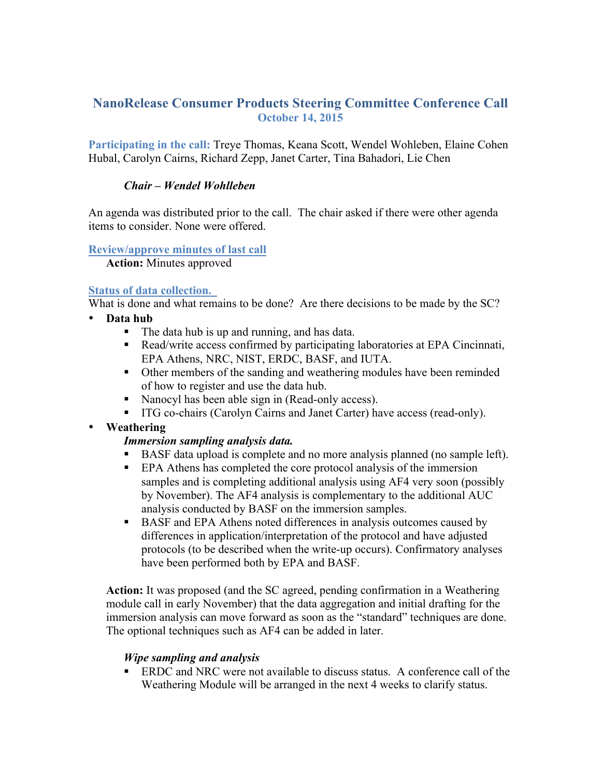# **NanoRelease Consumer Products Steering Committee Conference Call October 14, 2015**

**Participating in the call:** Treye Thomas, Keana Scott, Wendel Wohleben, Elaine Cohen Hubal, Carolyn Cairns, Richard Zepp, Janet Carter, Tina Bahadori, Lie Chen

#### *Chair – Wendel Wohlleben*

An agenda was distributed prior to the call. The chair asked if there were other agenda items to consider. None were offered.

#### **Review/approve minutes of last call**

**Action:** Minutes approved

## **Status of data collection.**

What is done and what remains to be done? Are there decisions to be made by the SC?

- **Data hub** 
	- The data hub is up and running, and has data.
	- Read/write access confirmed by participating laboratories at EPA Cincinnati, EPA Athens, NRC, NIST, ERDC, BASF, and IUTA.
	- Other members of the sanding and weathering modules have been reminded of how to register and use the data hub.
	- Nanocyl has been able sign in (Read-only access).
	- ITG co-chairs (Carolyn Cairns and Janet Carter) have access (read-only).
- **Weathering**

## *Immersion sampling analysis data.*

- § BASF data upload is complete and no more analysis planned (no sample left).
- EPA Athens has completed the core protocol analysis of the immersion samples and is completing additional analysis using AF4 very soon (possibly by November). The AF4 analysis is complementary to the additional AUC analysis conducted by BASF on the immersion samples.
- BASF and EPA Athens noted differences in analysis outcomes caused by differences in application/interpretation of the protocol and have adjusted protocols (to be described when the write-up occurs). Confirmatory analyses have been performed both by EPA and BASF.

**Action:** It was proposed (and the SC agreed, pending confirmation in a Weathering module call in early November) that the data aggregation and initial drafting for the immersion analysis can move forward as soon as the "standard" techniques are done. The optional techniques such as AF4 can be added in later.

## *Wipe sampling and analysis*

**ERDC** and NRC were not available to discuss status. A conference call of the Weathering Module will be arranged in the next 4 weeks to clarify status.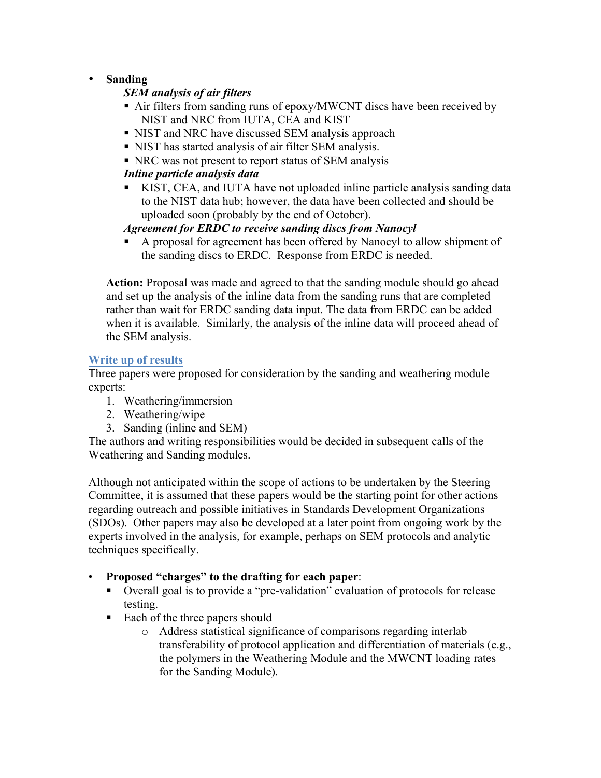# • **Sanding**

## *SEM analysis of air filters*

- Air filters from sanding runs of epoxy/MWCNT discs have been received by NIST and NRC from IUTA, CEA and KIST
- NIST and NRC have discussed SEM analysis approach
- § NIST has started analysis of air filter SEM analysis.
- NRC was not present to report status of SEM analysis

## *Inline particle analysis data*

§ KIST, CEA, and IUTA have not uploaded inline particle analysis sanding data to the NIST data hub; however, the data have been collected and should be uploaded soon (probably by the end of October).

## *Agreement for ERDC to receive sanding discs from Nanocyl*

§ A proposal for agreement has been offered by Nanocyl to allow shipment of the sanding discs to ERDC. Response from ERDC is needed.

**Action:** Proposal was made and agreed to that the sanding module should go ahead and set up the analysis of the inline data from the sanding runs that are completed rather than wait for ERDC sanding data input. The data from ERDC can be added when it is available. Similarly, the analysis of the inline data will proceed ahead of the SEM analysis.

## **Write up of results**

Three papers were proposed for consideration by the sanding and weathering module experts:

- 1. Weathering/immersion
- 2. Weathering/wipe
- 3. Sanding (inline and SEM)

The authors and writing responsibilities would be decided in subsequent calls of the Weathering and Sanding modules.

Although not anticipated within the scope of actions to be undertaken by the Steering Committee, it is assumed that these papers would be the starting point for other actions regarding outreach and possible initiatives in Standards Development Organizations (SDOs). Other papers may also be developed at a later point from ongoing work by the experts involved in the analysis, for example, perhaps on SEM protocols and analytic techniques specifically.

## • **Proposed "charges" to the drafting for each paper**:

- Overall goal is to provide a "pre-validation" evaluation of protocols for release testing.
- Each of the three papers should
	- o Address statistical significance of comparisons regarding interlab transferability of protocol application and differentiation of materials (e.g., the polymers in the Weathering Module and the MWCNT loading rates for the Sanding Module).